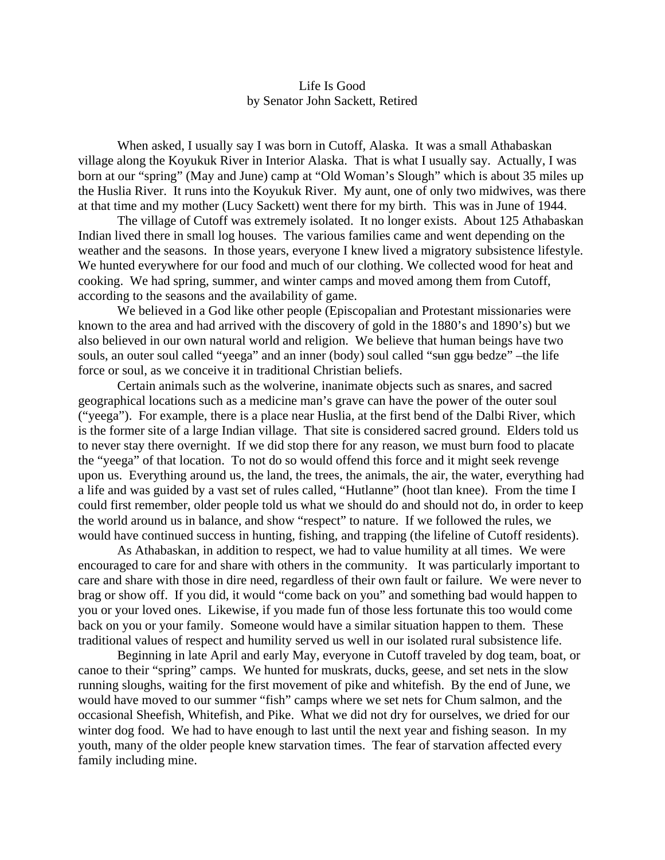## Life Is Good by Senator John Sackett, Retired

When asked, I usually say I was born in Cutoff, Alaska. It was a small Athabaskan village along the Koyukuk River in Interior Alaska. That is what I usually say. Actually, I was born at our "spring" (May and June) camp at "Old Woman's Slough" which is about 35 miles up the Huslia River. It runs into the Koyukuk River. My aunt, one of only two midwives, was there at that time and my mother (Lucy Sackett) went there for my birth. This was in June of 1944.

The village of Cutoff was extremely isolated. It no longer exists. About 125 Athabaskan Indian lived there in small log houses. The various families came and went depending on the weather and the seasons. In those years, everyone I knew lived a migratory subsistence lifestyle. We hunted everywhere for our food and much of our clothing. We collected wood for heat and cooking. We had spring, summer, and winter camps and moved among them from Cutoff, according to the seasons and the availability of game.

We believed in a God like other people (Episcopalian and Protestant missionaries were known to the area and had arrived with the discovery of gold in the 1880's and 1890's) but we also believed in our own natural world and religion. We believe that human beings have two souls, an outer soul called "yeega" and an inner (body) soul called "sun ggu bedze" –the life force or soul, as we conceive it in traditional Christian beliefs.

Certain animals such as the wolverine, inanimate objects such as snares, and sacred geographical locations such as a medicine man's grave can have the power of the outer soul ("yeega"). For example, there is a place near Huslia, at the first bend of the Dalbi River, which is the former site of a large Indian village. That site is considered sacred ground. Elders told us to never stay there overnight. If we did stop there for any reason, we must burn food to placate the "yeega" of that location. To not do so would offend this force and it might seek revenge upon us. Everything around us, the land, the trees, the animals, the air, the water, everything had a life and was guided by a vast set of rules called, "Hutlanne" (hoot tlan knee). From the time I could first remember, older people told us what we should do and should not do, in order to keep the world around us in balance, and show "respect" to nature. If we followed the rules, we would have continued success in hunting, fishing, and trapping (the lifeline of Cutoff residents).

As Athabaskan, in addition to respect, we had to value humility at all times. We were encouraged to care for and share with others in the community. It was particularly important to care and share with those in dire need, regardless of their own fault or failure. We were never to brag or show off. If you did, it would "come back on you" and something bad would happen to you or your loved ones. Likewise, if you made fun of those less fortunate this too would come back on you or your family. Someone would have a similar situation happen to them. These traditional values of respect and humility served us well in our isolated rural subsistence life.

Beginning in late April and early May, everyone in Cutoff traveled by dog team, boat, or canoe to their "spring" camps. We hunted for muskrats, ducks, geese, and set nets in the slow running sloughs, waiting for the first movement of pike and whitefish. By the end of June, we would have moved to our summer "fish" camps where we set nets for Chum salmon, and the occasional Sheefish, Whitefish, and Pike. What we did not dry for ourselves, we dried for our winter dog food. We had to have enough to last until the next year and fishing season. In my youth, many of the older people knew starvation times. The fear of starvation affected every family including mine.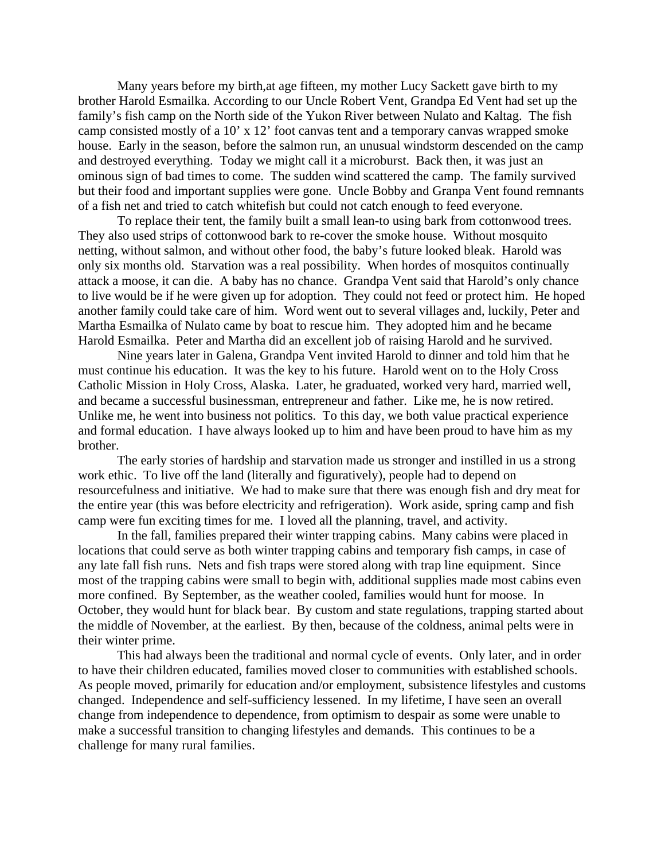Many years before my birth,at age fifteen, my mother Lucy Sackett gave birth to my brother Harold Esmailka. According to our Uncle Robert Vent, Grandpa Ed Vent had set up the family's fish camp on the North side of the Yukon River between Nulato and Kaltag. The fish camp consisted mostly of a 10' x 12' foot canvas tent and a temporary canvas wrapped smoke house. Early in the season, before the salmon run, an unusual windstorm descended on the camp and destroyed everything. Today we might call it a microburst. Back then, it was just an ominous sign of bad times to come. The sudden wind scattered the camp. The family survived but their food and important supplies were gone. Uncle Bobby and Granpa Vent found remnants of a fish net and tried to catch whitefish but could not catch enough to feed everyone.

To replace their tent, the family built a small lean-to using bark from cottonwood trees. They also used strips of cottonwood bark to re-cover the smoke house. Without mosquito netting, without salmon, and without other food, the baby's future looked bleak. Harold was only six months old. Starvation was a real possibility. When hordes of mosquitos continually attack a moose, it can die. A baby has no chance. Grandpa Vent said that Harold's only chance to live would be if he were given up for adoption. They could not feed or protect him. He hoped another family could take care of him. Word went out to several villages and, luckily, Peter and Martha Esmailka of Nulato came by boat to rescue him. They adopted him and he became Harold Esmailka. Peter and Martha did an excellent job of raising Harold and he survived.

Nine years later in Galena, Grandpa Vent invited Harold to dinner and told him that he must continue his education. It was the key to his future. Harold went on to the Holy Cross Catholic Mission in Holy Cross, Alaska. Later, he graduated, worked very hard, married well, and became a successful businessman, entrepreneur and father. Like me, he is now retired. Unlike me, he went into business not politics. To this day, we both value practical experience and formal education. I have always looked up to him and have been proud to have him as my brother.

The early stories of hardship and starvation made us stronger and instilled in us a strong work ethic. To live off the land (literally and figuratively), people had to depend on resourcefulness and initiative. We had to make sure that there was enough fish and dry meat for the entire year (this was before electricity and refrigeration). Work aside, spring camp and fish camp were fun exciting times for me. I loved all the planning, travel, and activity.

In the fall, families prepared their winter trapping cabins. Many cabins were placed in locations that could serve as both winter trapping cabins and temporary fish camps, in case of any late fall fish runs. Nets and fish traps were stored along with trap line equipment. Since most of the trapping cabins were small to begin with, additional supplies made most cabins even more confined. By September, as the weather cooled, families would hunt for moose. In October, they would hunt for black bear. By custom and state regulations, trapping started about the middle of November, at the earliest. By then, because of the coldness, animal pelts were in their winter prime.

This had always been the traditional and normal cycle of events. Only later, and in order to have their children educated, families moved closer to communities with established schools. As people moved, primarily for education and/or employment, subsistence lifestyles and customs changed. Independence and self-sufficiency lessened. In my lifetime, I have seen an overall change from independence to dependence, from optimism to despair as some were unable to make a successful transition to changing lifestyles and demands. This continues to be a challenge for many rural families.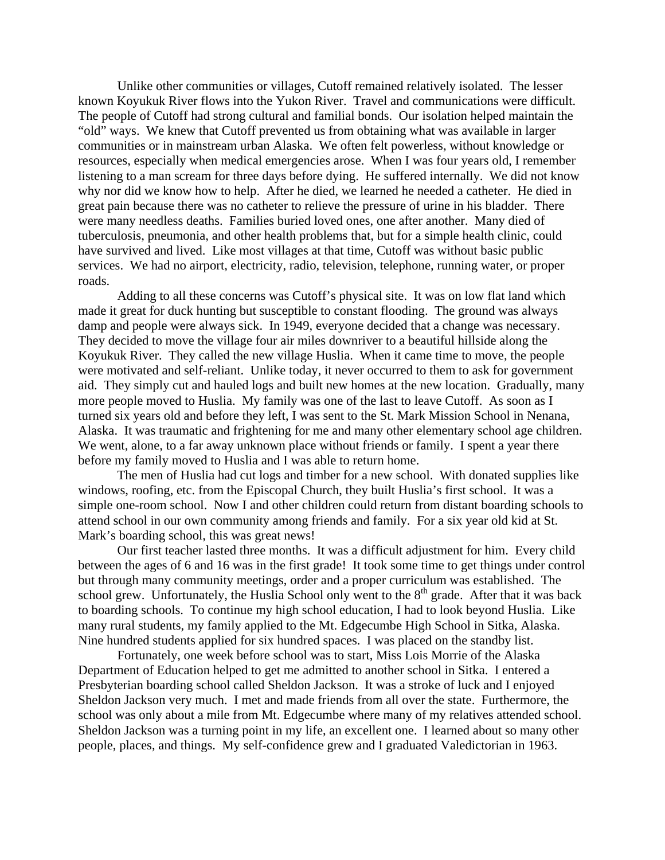Unlike other communities or villages, Cutoff remained relatively isolated. The lesser known Koyukuk River flows into the Yukon River. Travel and communications were difficult. The people of Cutoff had strong cultural and familial bonds. Our isolation helped maintain the "old" ways. We knew that Cutoff prevented us from obtaining what was available in larger communities or in mainstream urban Alaska. We often felt powerless, without knowledge or resources, especially when medical emergencies arose. When I was four years old, I remember listening to a man scream for three days before dying. He suffered internally. We did not know why nor did we know how to help. After he died, we learned he needed a catheter. He died in great pain because there was no catheter to relieve the pressure of urine in his bladder. There were many needless deaths. Families buried loved ones, one after another. Many died of tuberculosis, pneumonia, and other health problems that, but for a simple health clinic, could have survived and lived. Like most villages at that time, Cutoff was without basic public services. We had no airport, electricity, radio, television, telephone, running water, or proper roads.

Adding to all these concerns was Cutoff's physical site. It was on low flat land which made it great for duck hunting but susceptible to constant flooding. The ground was always damp and people were always sick. In 1949, everyone decided that a change was necessary. They decided to move the village four air miles downriver to a beautiful hillside along the Koyukuk River. They called the new village Huslia. When it came time to move, the people were motivated and self-reliant. Unlike today, it never occurred to them to ask for government aid. They simply cut and hauled logs and built new homes at the new location. Gradually, many more people moved to Huslia. My family was one of the last to leave Cutoff. As soon as I turned six years old and before they left, I was sent to the St. Mark Mission School in Nenana, Alaska. It was traumatic and frightening for me and many other elementary school age children. We went, alone, to a far away unknown place without friends or family. I spent a year there before my family moved to Huslia and I was able to return home.

The men of Huslia had cut logs and timber for a new school. With donated supplies like windows, roofing, etc. from the Episcopal Church, they built Huslia's first school. It was a simple one-room school. Now I and other children could return from distant boarding schools to attend school in our own community among friends and family. For a six year old kid at St. Mark's boarding school, this was great news!

Our first teacher lasted three months. It was a difficult adjustment for him. Every child between the ages of 6 and 16 was in the first grade! It took some time to get things under control but through many community meetings, order and a proper curriculum was established. The school grew. Unfortunately, the Huslia School only went to the  $8<sup>th</sup>$  grade. After that it was back to boarding schools. To continue my high school education, I had to look beyond Huslia. Like many rural students, my family applied to the Mt. Edgecumbe High School in Sitka, Alaska. Nine hundred students applied for six hundred spaces. I was placed on the standby list.

Fortunately, one week before school was to start, Miss Lois Morrie of the Alaska Department of Education helped to get me admitted to another school in Sitka. I entered a Presbyterian boarding school called Sheldon Jackson. It was a stroke of luck and I enjoyed Sheldon Jackson very much. I met and made friends from all over the state. Furthermore, the school was only about a mile from Mt. Edgecumbe where many of my relatives attended school. Sheldon Jackson was a turning point in my life, an excellent one. I learned about so many other people, places, and things. My self-confidence grew and I graduated Valedictorian in 1963.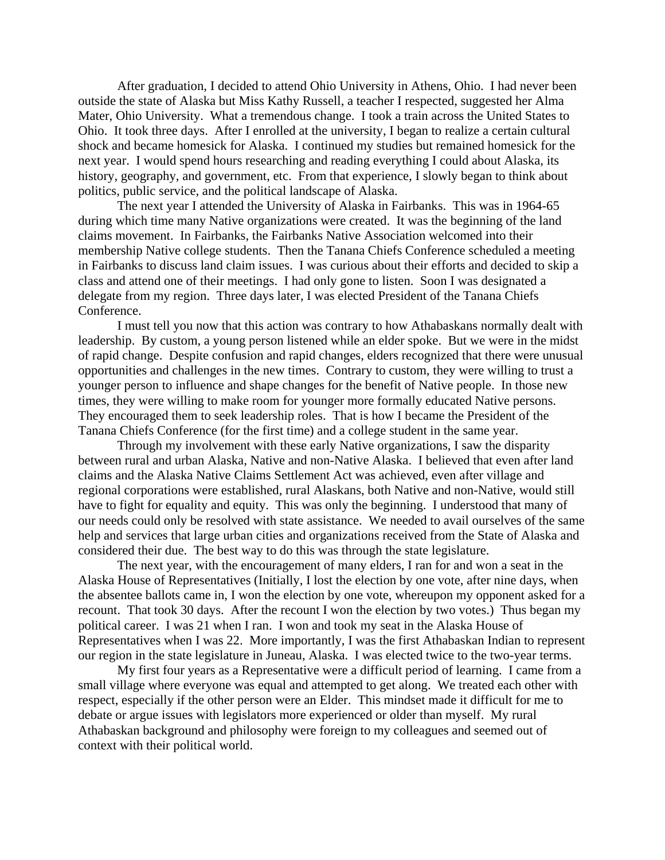After graduation, I decided to attend Ohio University in Athens, Ohio. I had never been outside the state of Alaska but Miss Kathy Russell, a teacher I respected, suggested her Alma Mater, Ohio University. What a tremendous change. I took a train across the United States to Ohio. It took three days. After I enrolled at the university, I began to realize a certain cultural shock and became homesick for Alaska. I continued my studies but remained homesick for the next year. I would spend hours researching and reading everything I could about Alaska, its history, geography, and government, etc. From that experience, I slowly began to think about politics, public service, and the political landscape of Alaska.

The next year I attended the University of Alaska in Fairbanks. This was in 1964-65 during which time many Native organizations were created. It was the beginning of the land claims movement. In Fairbanks, the Fairbanks Native Association welcomed into their membership Native college students. Then the Tanana Chiefs Conference scheduled a meeting in Fairbanks to discuss land claim issues. I was curious about their efforts and decided to skip a class and attend one of their meetings. I had only gone to listen. Soon I was designated a delegate from my region. Three days later, I was elected President of the Tanana Chiefs Conference.

I must tell you now that this action was contrary to how Athabaskans normally dealt with leadership. By custom, a young person listened while an elder spoke. But we were in the midst of rapid change. Despite confusion and rapid changes, elders recognized that there were unusual opportunities and challenges in the new times. Contrary to custom, they were willing to trust a younger person to influence and shape changes for the benefit of Native people. In those new times, they were willing to make room for younger more formally educated Native persons. They encouraged them to seek leadership roles. That is how I became the President of the Tanana Chiefs Conference (for the first time) and a college student in the same year.

Through my involvement with these early Native organizations, I saw the disparity between rural and urban Alaska, Native and non-Native Alaska. I believed that even after land claims and the Alaska Native Claims Settlement Act was achieved, even after village and regional corporations were established, rural Alaskans, both Native and non-Native, would still have to fight for equality and equity. This was only the beginning. I understood that many of our needs could only be resolved with state assistance. We needed to avail ourselves of the same help and services that large urban cities and organizations received from the State of Alaska and considered their due. The best way to do this was through the state legislature.

The next year, with the encouragement of many elders, I ran for and won a seat in the Alaska House of Representatives (Initially, I lost the election by one vote, after nine days, when the absentee ballots came in, I won the election by one vote, whereupon my opponent asked for a recount. That took 30 days. After the recount I won the election by two votes.) Thus began my political career. I was 21 when I ran. I won and took my seat in the Alaska House of Representatives when I was 22. More importantly, I was the first Athabaskan Indian to represent our region in the state legislature in Juneau, Alaska. I was elected twice to the two-year terms.

My first four years as a Representative were a difficult period of learning. I came from a small village where everyone was equal and attempted to get along. We treated each other with respect, especially if the other person were an Elder. This mindset made it difficult for me to debate or argue issues with legislators more experienced or older than myself. My rural Athabaskan background and philosophy were foreign to my colleagues and seemed out of context with their political world.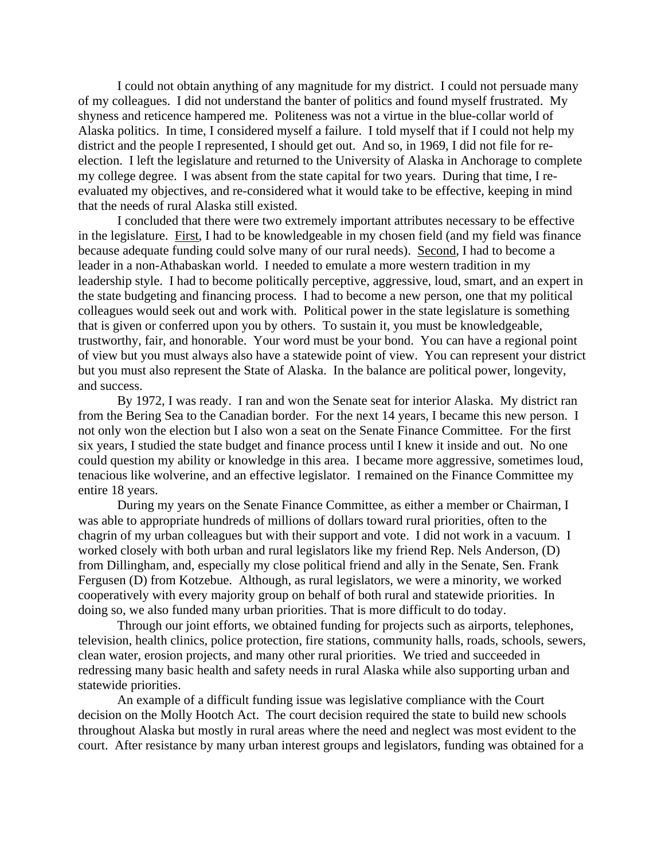I could not obtain anything of any magnitude for my district. I could not persuade many of my colleagues. I did not understand the banter of politics and found myself frustrated. My shyness and reticence hampered me. Politeness was not a virtue in the blue-collar world of Alaska politics. In time, I considered myself a failure. I told myself that if I could not help my district and the people I represented, I should get out. And so, in 1969, I did not file for reelection. I left the legislature and returned to the University of Alaska in Anchorage to complete my college degree. I was absent from the state capital for two years. During that time, I reevaluated my objectives, and re-considered what it would take to be effective, keeping in mind that the needs of rural Alaska still existed.

I concluded that there were two extremely important attributes necessary to be effective in the legislature. First, I had to be knowledgeable in my chosen field (and my field was finance because adequate funding could solve many of our rural needs). Second, I had to become a leader in a non-Athabaskan world. I needed to emulate a more western tradition in my leadership style. I had to become politically perceptive, aggressive, loud, smart, and an expert in the state budgeting and financing process. I had to become a new person, one that my political colleagues would seek out and work with. Political power in the state legislature is something that is given or conferred upon you by others. To sustain it, you must be knowledgeable, trustworthy, fair, and honorable. Your word must be your bond. You can have a regional point of view but you must always also have a statewide point of view. You can represent your district but you must also represent the State of Alaska. In the balance are political power, longevity, and success.

By 1972, I was ready. I ran and won the Senate seat for interior Alaska. My district ran from the Bering Sea to the Canadian border. For the next 14 years, I became this new person. I not only won the election but I also won a seat on the Senate Finance Committee. For the first six years, I studied the state budget and finance process until I knew it inside and out. No one could question my ability or knowledge in this area. I became more aggressive, sometimes loud, tenacious like wolverine, and an effective legislator. I remained on the Finance Committee my entire 18 years.

During my years on the Senate Finance Committee, as either a member or Chairman, I was able to appropriate hundreds of millions of dollars toward rural priorities, often to the chagrin of my urban colleagues but with their support and vote. I did not work in a vacuum. I worked closely with both urban and rural legislators like my friend Rep. Nels Anderson, (D) from Dillingham, and, especially my close political friend and ally in the Senate, Sen. Frank Fergusen (D) from Kotzebue. Although, as rural legislators, we were a minority, we worked cooperatively with every majority group on behalf of both rural and statewide priorities. In doing so, we also funded many urban priorities. That is more difficult to do today.

Through our joint efforts, we obtained funding for projects such as airports, telephones, television, health clinics, police protection, fire stations, community halls, roads, schools, sewers, clean water, erosion projects, and many other rural priorities. We tried and succeeded in redressing many basic health and safety needs in rural Alaska while also supporting urban and statewide priorities.

An example of a difficult funding issue was legislative compliance with the Court decision on the Molly Hootch Act. The court decision required the state to build new schools throughout Alaska but mostly in rural areas where the need and neglect was most evident to the court. After resistance by many urban interest groups and legislators, funding was obtained for a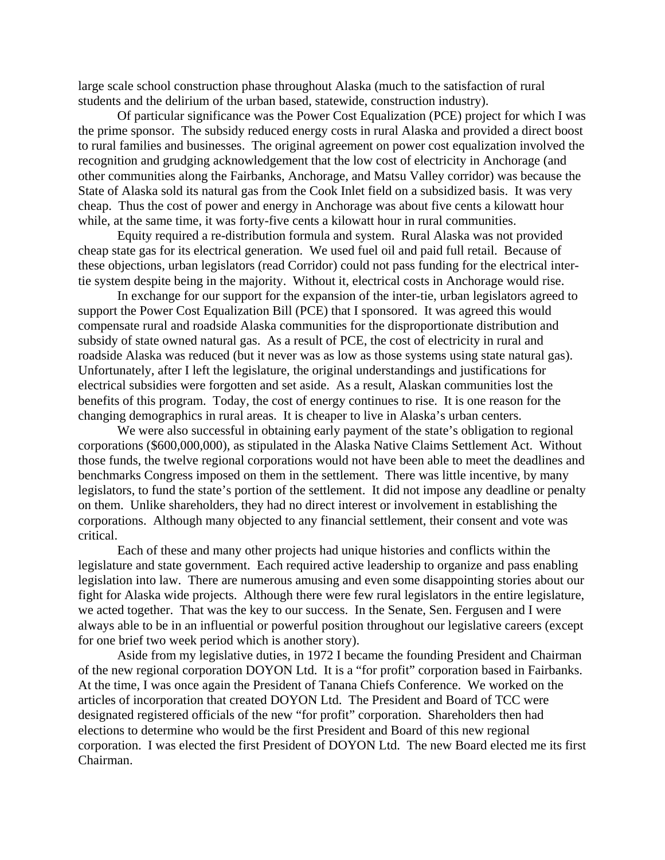large scale school construction phase throughout Alaska (much to the satisfaction of rural students and the delirium of the urban based, statewide, construction industry).

Of particular significance was the Power Cost Equalization (PCE) project for which I was the prime sponsor. The subsidy reduced energy costs in rural Alaska and provided a direct boost to rural families and businesses. The original agreement on power cost equalization involved the recognition and grudging acknowledgement that the low cost of electricity in Anchorage (and other communities along the Fairbanks, Anchorage, and Matsu Valley corridor) was because the State of Alaska sold its natural gas from the Cook Inlet field on a subsidized basis. It was very cheap. Thus the cost of power and energy in Anchorage was about five cents a kilowatt hour while, at the same time, it was forty-five cents a kilowatt hour in rural communities.

Equity required a re-distribution formula and system. Rural Alaska was not provided cheap state gas for its electrical generation. We used fuel oil and paid full retail. Because of these objections, urban legislators (read Corridor) could not pass funding for the electrical intertie system despite being in the majority. Without it, electrical costs in Anchorage would rise.

In exchange for our support for the expansion of the inter-tie, urban legislators agreed to support the Power Cost Equalization Bill (PCE) that I sponsored. It was agreed this would compensate rural and roadside Alaska communities for the disproportionate distribution and subsidy of state owned natural gas. As a result of PCE, the cost of electricity in rural and roadside Alaska was reduced (but it never was as low as those systems using state natural gas). Unfortunately, after I left the legislature, the original understandings and justifications for electrical subsidies were forgotten and set aside. As a result, Alaskan communities lost the benefits of this program. Today, the cost of energy continues to rise. It is one reason for the changing demographics in rural areas. It is cheaper to live in Alaska's urban centers.

We were also successful in obtaining early payment of the state's obligation to regional corporations (\$600,000,000), as stipulated in the Alaska Native Claims Settlement Act. Without those funds, the twelve regional corporations would not have been able to meet the deadlines and benchmarks Congress imposed on them in the settlement. There was little incentive, by many legislators, to fund the state's portion of the settlement. It did not impose any deadline or penalty on them. Unlike shareholders, they had no direct interest or involvement in establishing the corporations. Although many objected to any financial settlement, their consent and vote was critical.

Each of these and many other projects had unique histories and conflicts within the legislature and state government. Each required active leadership to organize and pass enabling legislation into law. There are numerous amusing and even some disappointing stories about our fight for Alaska wide projects. Although there were few rural legislators in the entire legislature, we acted together. That was the key to our success. In the Senate, Sen. Fergusen and I were always able to be in an influential or powerful position throughout our legislative careers (except for one brief two week period which is another story).

Aside from my legislative duties, in 1972 I became the founding President and Chairman of the new regional corporation DOYON Ltd. It is a "for profit" corporation based in Fairbanks. At the time, I was once again the President of Tanana Chiefs Conference. We worked on the articles of incorporation that created DOYON Ltd. The President and Board of TCC were designated registered officials of the new "for profit" corporation. Shareholders then had elections to determine who would be the first President and Board of this new regional corporation. I was elected the first President of DOYON Ltd. The new Board elected me its first Chairman.